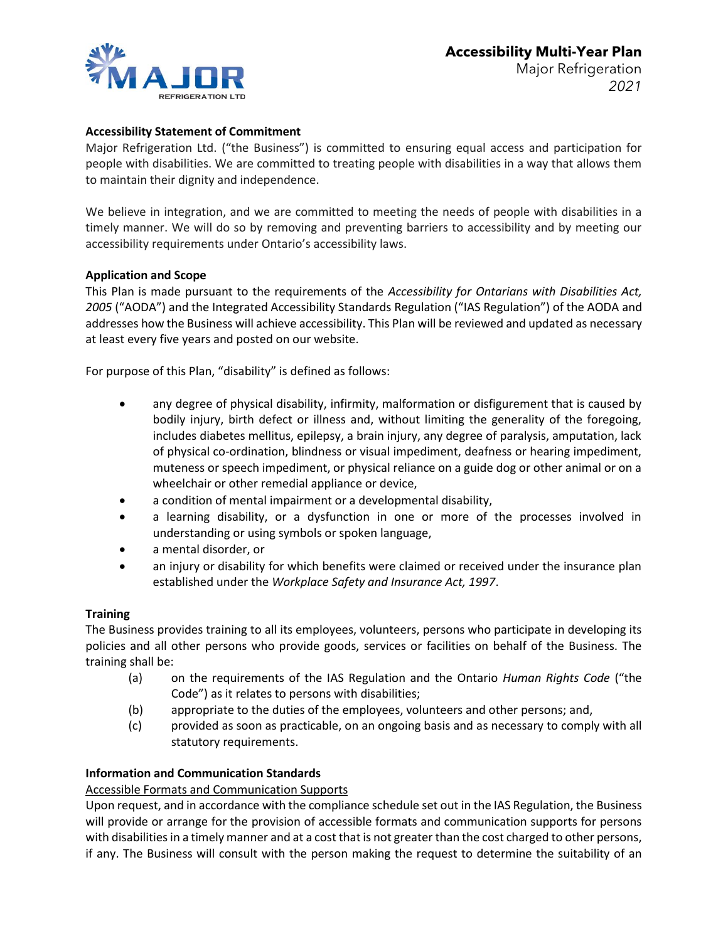

# **Accessibility Statement of Commitment**

Major Refrigeration Ltd. ("the Business") is committed to ensuring equal access and participation for people with disabilities. We are committed to treating people with disabilities in a way that allows them to maintain their dignity and independence.

We believe in integration, and we are committed to meeting the needs of people with disabilities in a timely manner. We will do so by removing and preventing barriers to accessibility and by meeting our accessibility requirements under Ontario's accessibility laws.

## **Application and Scope**

This Plan is made pursuant to the requirements of the *Accessibility for Ontarians with Disabilities Act, 2005* ("AODA") and the Integrated Accessibility Standards Regulation ("IAS Regulation") of the AODA and addresses how the Business will achieve accessibility. This Plan will be reviewed and updated as necessary at least every five years and posted on our website.

For purpose of this Plan, "disability" is defined as follows:

- any degree of physical disability, infirmity, malformation or disfigurement that is caused by bodily injury, birth defect or illness and, without limiting the generality of the foregoing, includes diabetes mellitus, epilepsy, a brain injury, any degree of paralysis, amputation, lack of physical co-ordination, blindness or visual impediment, deafness or hearing impediment, muteness or speech impediment, or physical reliance on a guide dog or other animal or on a wheelchair or other remedial appliance or device,
- a condition of mental impairment or a developmental disability,
- a learning disability, or a dysfunction in one or more of the processes involved in understanding or using symbols or spoken language,
- a mental disorder, or
- an injury or disability for which benefits were claimed or received under the insurance plan established under the *Workplace Safety and Insurance Act, 1997*.

## **Training**

The Business provides training to all its employees, volunteers, persons who participate in developing its policies and all other persons who provide goods, services or facilities on behalf of the Business. The training shall be:

- (a) on the requirements of the IAS Regulation and the Ontario *Human Rights Code* ("the Code") as it relates to persons with disabilities;
- (b) appropriate to the duties of the employees, volunteers and other persons; and,
- (c) provided as soon as practicable, on an ongoing basis and as necessary to comply with all statutory requirements.

## **Information and Communication Standards**

## Accessible Formats and Communication Supports

Upon request, and in accordance with the compliance schedule set out in the IAS Regulation, the Business will provide or arrange for the provision of accessible formats and communication supports for persons with disabilities in a timely manner and at a cost that is not greater than the cost charged to other persons, if any. The Business will consult with the person making the request to determine the suitability of an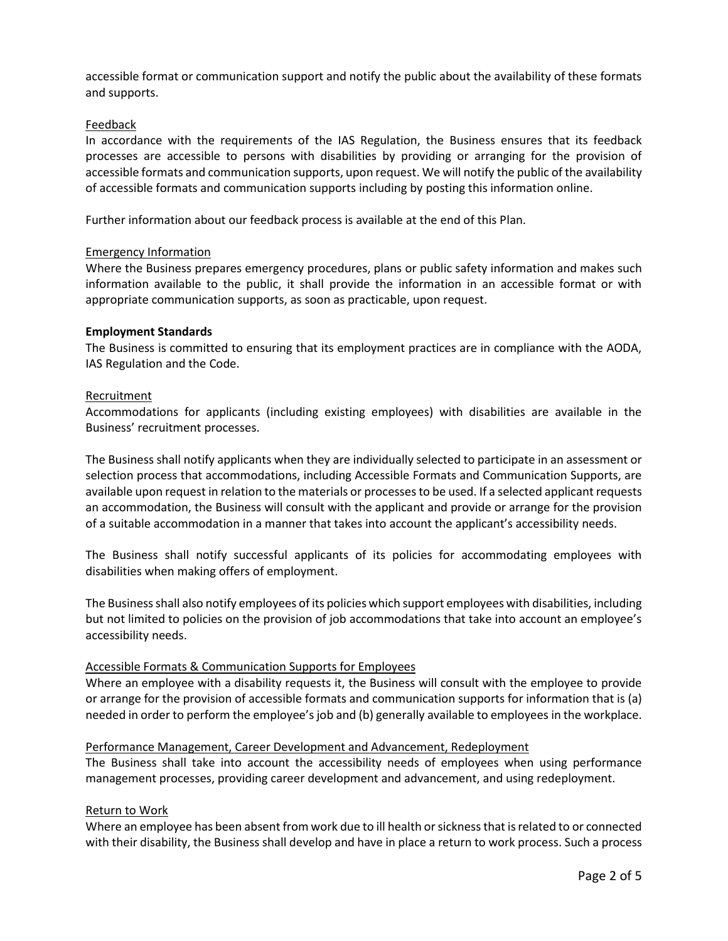accessible format or communication support and notify the public about the availability of these formats and supports.

### Feedback

In accordance with the requirements of the IAS Regulation, the Business ensures that its feedback processes are accessible to persons with disabilities by providing or arranging for the provision of accessible formats and communication supports, upon request. We will notify the public of the availability of accessible formats and communication supports including by posting this information online.

Further information about our feedback process is available at the end of this Plan.

## Emergency Information

Where the Business prepares emergency procedures, plans or public safety information and makes such information available to the public, it shall provide the information in an accessible format or with appropriate communication supports, as soon as practicable, upon request.

#### **Employment Standards**

The Business is committed to ensuring that its employment practices are in compliance with the AODA, IAS Regulation and the Code.

## Recruitment

Accommodations for applicants (including existing employees) with disabilities are available in the Business' recruitment processes.

The Business shall notify applicants when they are individually selected to participate in an assessment or selection process that accommodations, including Accessible Formats and Communication Supports, are available upon request in relation to the materials or processes to be used. If a selected applicant requests an accommodation, the Business will consult with the applicant and provide or arrange for the provision of a suitable accommodation in a manner that takes into account the applicant's accessibility needs.

The Business shall notify successful applicants of its policies for accommodating employees with disabilities when making offers of employment.

The Business shall also notify employees of its policies which support employees with disabilities, including but not limited to policies on the provision of job accommodations that take into account an employee's accessibility needs.

#### Accessible Formats & Communication Supports for Employees

Where an employee with a disability requests it, the Business will consult with the employee to provide or arrange for the provision of accessible formats and communication supports for information that is (a) needed in order to perform the employee's job and (b) generally available to employees in the workplace.

## Performance Management, Career Development and Advancement, Redeployment

The Business shall take into account the accessibility needs of employees when using performance management processes, providing career development and advancement, and using redeployment.

#### Return to Work

Where an employee has been absent from work due to ill health or sickness that is related to or connected with their disability, the Business shall develop and have in place a return to work process. Such a process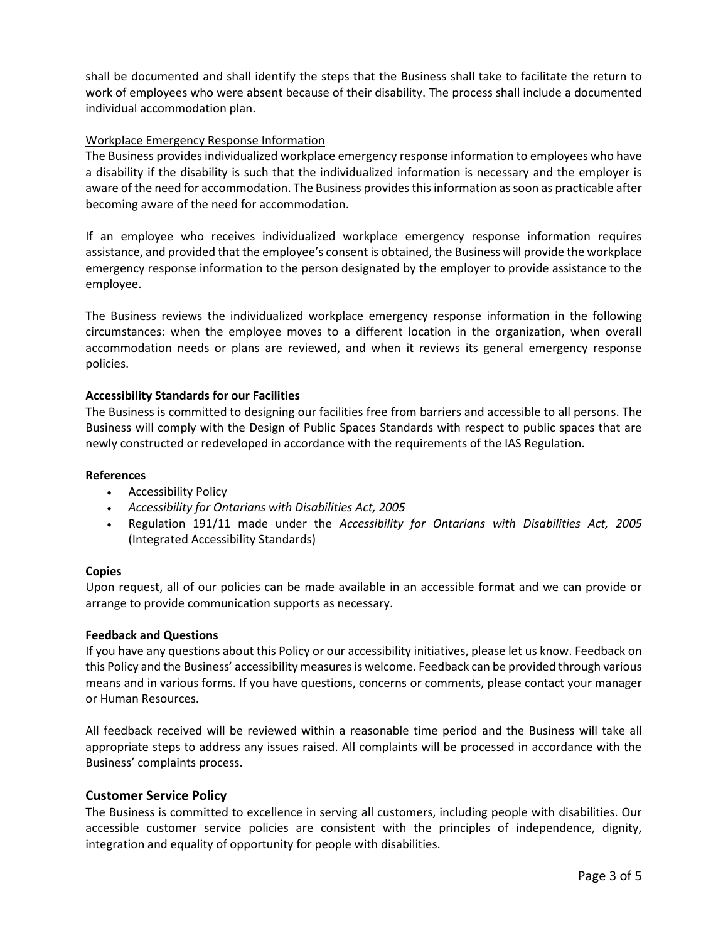shall be documented and shall identify the steps that the Business shall take to facilitate the return to work of employees who were absent because of their disability. The process shall include a documented individual accommodation plan.

## Workplace Emergency Response Information

The Business provides individualized workplace emergency response information to employees who have a disability if the disability is such that the individualized information is necessary and the employer is aware of the need for accommodation. The Business provides this information as soon as practicable after becoming aware of the need for accommodation.

If an employee who receives individualized workplace emergency response information requires assistance, and provided that the employee's consent is obtained, the Business will provide the workplace emergency response information to the person designated by the employer to provide assistance to the employee.

The Business reviews the individualized workplace emergency response information in the following circumstances: when the employee moves to a different location in the organization, when overall accommodation needs or plans are reviewed, and when it reviews its general emergency response policies.

## **Accessibility Standards for our Facilities**

The Business is committed to designing our facilities free from barriers and accessible to all persons. The Business will comply with the Design of Public Spaces Standards with respect to public spaces that are newly constructed or redeveloped in accordance with the requirements of the IAS Regulation.

#### **References**

- Accessibility Policy
- *Accessibility for Ontarians with Disabilities Act, 2005*
- Regulation 191/11 made under the *Accessibility for Ontarians with Disabilities Act, 2005* (Integrated Accessibility Standards)

#### **Copies**

Upon request, all of our policies can be made available in an accessible format and we can provide or arrange to provide communication supports as necessary.

#### **Feedback and Questions**

If you have any questions about this Policy or our accessibility initiatives, please let us know. Feedback on this Policy and the Business' accessibility measures is welcome. Feedback can be provided through various means and in various forms. If you have questions, concerns or comments, please contact your manager or Human Resources.

All feedback received will be reviewed within a reasonable time period and the Business will take all appropriate steps to address any issues raised. All complaints will be processed in accordance with the Business' complaints process.

#### **Customer Service Policy**

The Business is committed to excellence in serving all customers, including people with disabilities. Our accessible customer service policies are consistent with the principles of independence, dignity, integration and equality of opportunity for people with disabilities.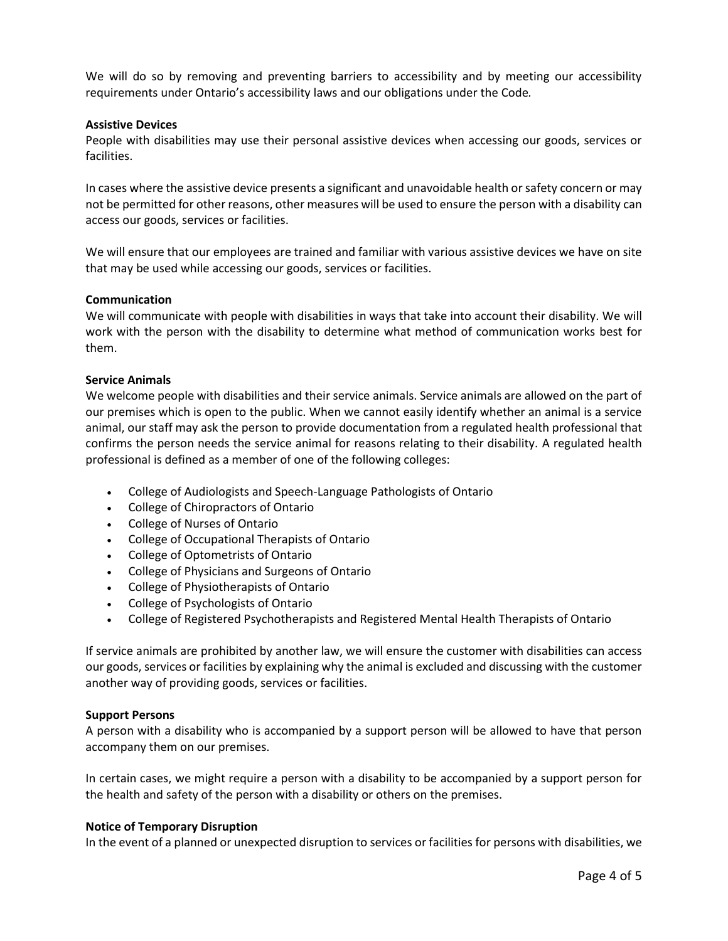We will do so by removing and preventing barriers to accessibility and by meeting our accessibility requirements under Ontario's accessibility laws and our obligations under the Code*.*

### **Assistive Devices**

People with disabilities may use their personal assistive devices when accessing our goods, services or facilities.

In cases where the assistive device presents a significant and unavoidable health or safety concern or may not be permitted for other reasons, other measures will be used to ensure the person with a disability can access our goods, services or facilities.

We will ensure that our employees are trained and familiar with various assistive devices we have on site that may be used while accessing our goods, services or facilities.

#### **Communication**

We will communicate with people with disabilities in ways that take into account their disability. We will work with the person with the disability to determine what method of communication works best for them.

## **Service Animals**

We welcome people with disabilities and their service animals. Service animals are allowed on the part of our premises which is open to the public. When we cannot easily identify whether an animal is a service animal, our staff may ask the person to provide documentation from a regulated health professional that confirms the person needs the service animal for reasons relating to their disability. A regulated health professional is defined as a member of one of the following colleges:

- College of Audiologists and Speech-Language Pathologists of Ontario
- College of Chiropractors of Ontario
- College of Nurses of Ontario
- College of Occupational Therapists of Ontario
- College of Optometrists of Ontario
- College of Physicians and Surgeons of Ontario
- College of Physiotherapists of Ontario
- College of Psychologists of Ontario
- College of Registered Psychotherapists and Registered Mental Health Therapists of Ontario

If service animals are prohibited by another law, we will ensure the customer with disabilities can access our goods, services or facilities by explaining why the animal is excluded and discussing with the customer another way of providing goods, services or facilities.

#### **Support Persons**

A person with a disability who is accompanied by a support person will be allowed to have that person accompany them on our premises.

In certain cases, we might require a person with a disability to be accompanied by a support person for the health and safety of the person with a disability or others on the premises.

#### **Notice of Temporary Disruption**

In the event of a planned or unexpected disruption to services or facilities for persons with disabilities, we